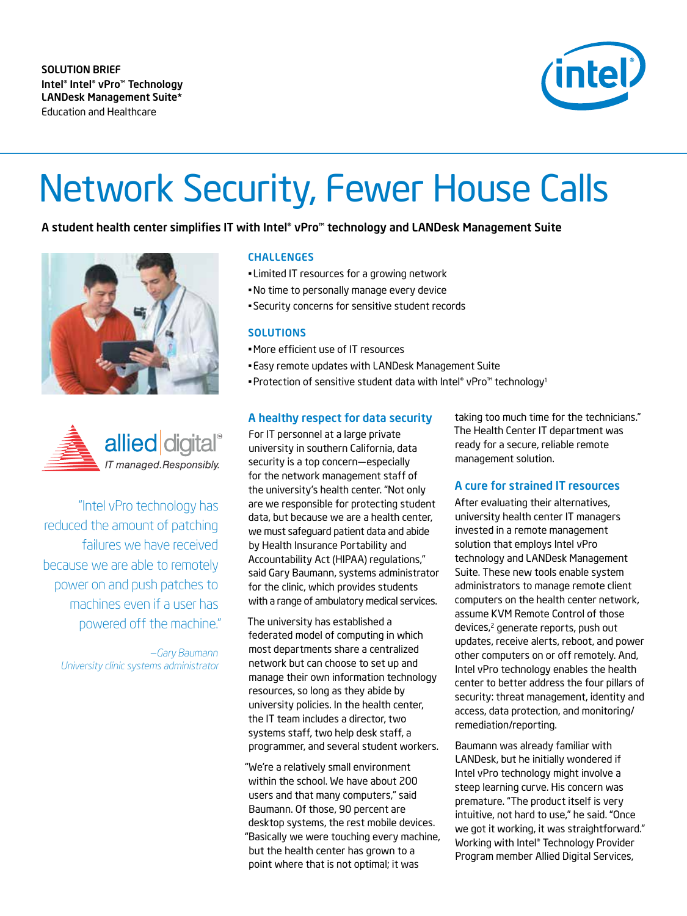

# Network Security, Fewer House Calls

A student health center simplifies IT with Intel® vPro<sup>m</sup> technology and LANDesk Management Suite





"Intel vPro technology has reduced the amount of patching failures we have received because we are able to remotely power on and push patches to machines even if a user has powered off the machine."

*—Gary Baumann University clinic systems administrator*

#### CHALLENGES

- Limited IT resources for a growing network
- •No time to personally manage every device
- Security concerns for sensitive student records

#### **SOLUTIONS**

- •More efficient use of IT resources
- Easy remote updates with LANDesk Management Suite
- Protection of sensitive student data with Intel® vPro™ technology<sup>1</sup>

#### A healthy respect for data security

For IT personnel at a large private university in southern California, data security is a top concern—especially for the network management staff of the university's health center. "Not only are we responsible for protecting student data, but because we are a health center, we must safeguard patient data and abide by Health Insurance Portability and Accountability Act (HIPAA) regulations," said Gary Baumann, systems administrator for the clinic, which provides students with a range of ambulatory medical services.

The university has established a federated model of computing in which most departments share a centralized network but can choose to set up and manage their own information technology resources, so long as they abide by university policies. In the health center, the IT team includes a director, two systems staff, two help desk staff, a programmer, and several student workers.

"We're a relatively small environment within the school. We have about 200 users and that many computers," said Baumann. Of those, 90 percent are desktop systems, the rest mobile devices. "Basically we were touching every machine, but the health center has grown to a point where that is not optimal; it was

taking too much time for the technicians." The Health Center IT department was ready for a secure, reliable remote management solution.

### A cure for strained IT resources

After evaluating their alternatives, university health center IT managers invested in a remote management solution that employs Intel vPro technology and LANDesk Management Suite. These new tools enable system administrators to manage remote client computers on the health center network, assume KVM Remote Control of those devices,<sup>2</sup> generate reports, push out updates, receive alerts, reboot, and power other computers on or off remotely. And, Intel vPro technology enables the health center to better address the four pillars of security: threat management, identity and access, data protection, and monitoring/ remediation/reporting.

Baumann was already familiar with LANDesk, but he initially wondered if Intel vPro technology might involve a steep learning curve. His concern was premature. "The product itself is very intuitive, not hard to use," he said. "Once we got it working, it was straightforward." Working with Intel® Technology Provider Program member Allied Digital Services,